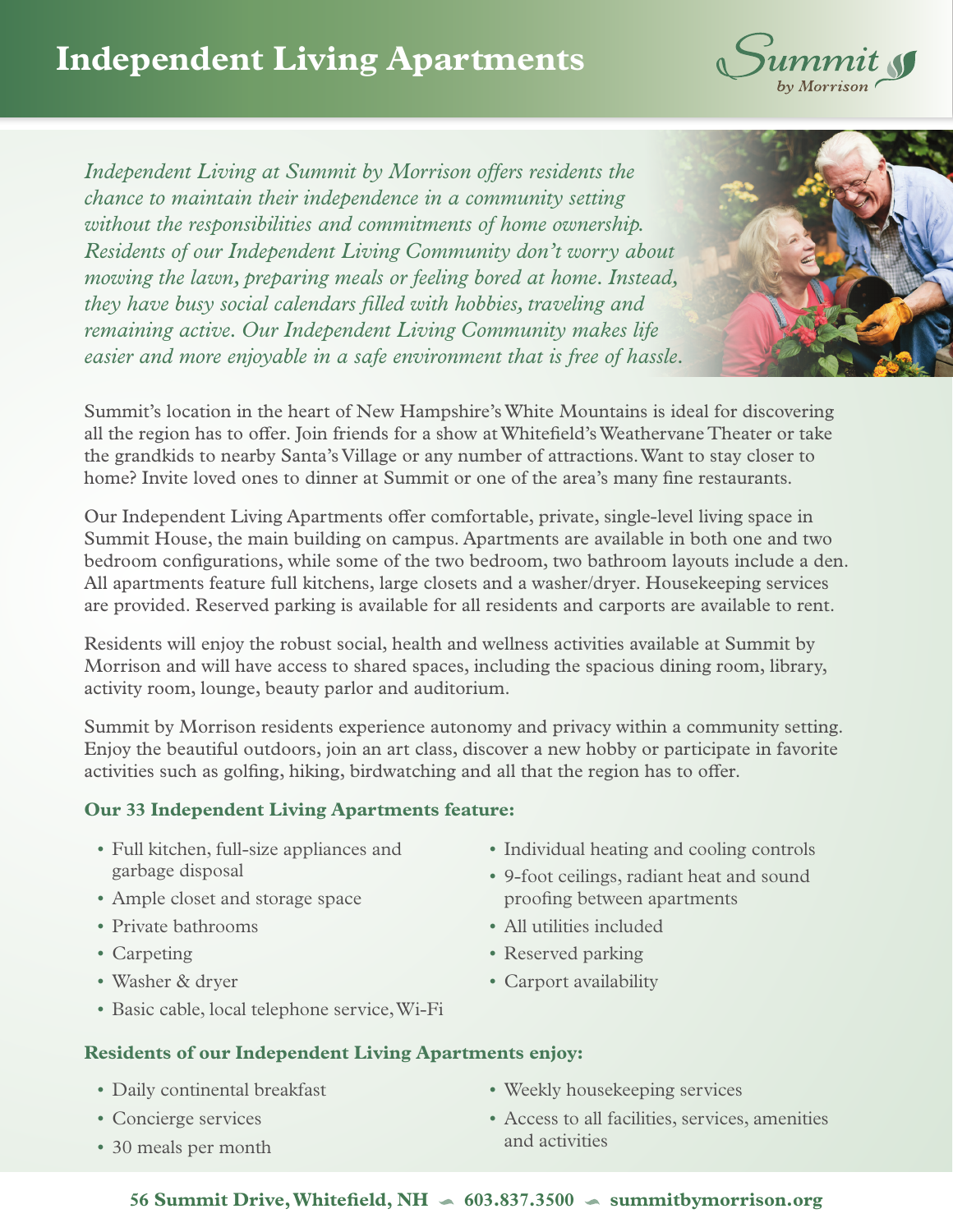

*Independent Living at Summit by Morrison offers residents the chance to maintain their independence in a community setting without the responsibilities and commitments of home ownership. Residents of our Independent Living Community don't worry about mowing the lawn, preparing meals or feeling bored at home. Instead, they have busy social calendars filled with hobbies, traveling and remaining active. Our Independent Living Community makes life easier and more enjoyable in a safe environment that is free of hassle.*



Summit's location in the heart of New Hampshire's White Mountains is ideal for discovering all the region has to offer. Join friends for a show at Whitefield's Weathervane Theater or take the grandkids to nearby Santa's Village or any number of attractions. Want to stay closer to home? Invite loved ones to dinner at Summit or one of the area's many fine restaurants.

Our Independent Living Apartments offer comfortable, private, single-level living space in Summit House, the main building on campus. Apartments are available in both one and two bedroom configurations, while some of the two bedroom, two bathroom layouts include a den. All apartments feature full kitchens, large closets and a washer/dryer. Housekeeping services are provided. Reserved parking is available for all residents and carports are available to rent.

Residents will enjoy the robust social, health and wellness activities available at Summit by Morrison and will have access to shared spaces, including the spacious dining room, library, activity room, lounge, beauty parlor and auditorium.

Summit by Morrison residents experience autonomy and privacy within a community setting. Enjoy the beautiful outdoors, join an art class, discover a new hobby or participate in favorite activities such as golfing, hiking, birdwatching and all that the region has to offer.

## **Our 33 Independent Living Apartments feature:**

- Full kitchen, full-size appliances and garbage disposal
- Ample closet and storage space
- Private bathrooms
- Carpeting
- Washer & dryer
- Basic cable, local telephone service, Wi-Fi
- Individual heating and cooling controls
- 9-foot ceilings, radiant heat and sound proofing between apartments
- All utilities included
- Reserved parking
- Carport availability

## **Residents of our Independent Living Apartments enjoy:**

- Daily continental breakfast
- Concierge services
- 30 meals per month
- Weekly housekeeping services
- Access to all facilities, services, amenities and activities